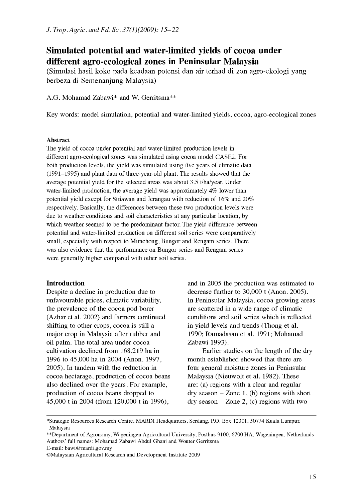# Simulated potential and water-limited yields of cocoa under different agro-ecological zones in Peninsular Malaysia

(Simulasi hasil koko pada keadaan potensi dan air terhad di zon agro-ekologi yang berbeza di Semenanjung Malaysia)

A.G. Mohamad Zabawi\* and W. Gerritsma\*\*

Key words: model simulation, potential and water-limited yields, cocoa, agro-ecological zones

#### Abstract

The yield of cocoa under potential and water-limited production levels in different agro-ecological zones was simulated using cocoa model CASE2. For both production levels, the yield was simulated using five years of climatic data (1991-1995) and plant data of three-year-old plant. The results showed that the average potential yield for the selected areas was about 3.5 t/ha/year. Under water-limited production, the average yield was approximately 4% lower than potential yield except for Sitiawan and Jerangau with reduction of 16% and 20% respectively. Basically, the differences between these two production levels were due to weather conditions and soil characteristics at any particular location, by which weather seemed to be the predominant factor. The yield difference between potential and water-limited production on different soil series were comparatively small, especially with respect to Munchong, Bungor and Rengam series. There was also evidence that the performance on Bungor series and Rengam series were generally higher compared with other soil series.

#### Introduction

Despite a decline in production due to unfavourable prices, climatic variability, the prevalence of the cocoa pod borer (Azhar et al. 2002) and farmers continued shifting to other crops, cocoa is still a major crop in Malaysia after rubber and oil palm. The total area under cocoa cultivation declined from 168,219 ha in 1996 to 45,000 ha in 2004 (Anon. 1997, 2005). In tandem with the reduction in cocoa hectarage, production of cocoa beans also declined over the years. For example, production of cocoa beans dropped to 45,000 t in 2004 (from 120,000 t in 1996),

and in 2005 the production was estimated to decrease further to 30,000 t (Anon. 2005). In Peninsular Malaysia, cocoa growing areas are scattered in a wide range of climatic conditions and soil series which is reflected in yield levels and trends (Thong et al. 1990; Ramadasan et al. 1991; Mohamad Zabawi 1993).

Earlier studies on the length of the dry month established showed that there are four general moisture zones in Peninsular Malaysia (Nieuwolt et al. 1982). These are: (a) regions with a clear and regular  $\text{dry season} - \text{Zone}$  1, (b) regions with short  $\text{dry season} - \text{Zone } 2$ , (c) regions with two

\*\*Department of Agronomy, Wageningen Agricultural University, Postbus 9100, 6700 HA, Wageningen, Netherlands Authors' full names: Mohamad Zabawi Abdul Ghani and Wouter Gerritsma

E-mail: bawi@mardi.gov.my

<sup>\*</sup>Strategic Resources Research Centre, MARDI Headquarters, Serdang, P.O. Box 12301, 50774 Kuala Lumpur, Malaysia

<sup>©</sup>Malaysian Agricultural Research and Development Institute 2009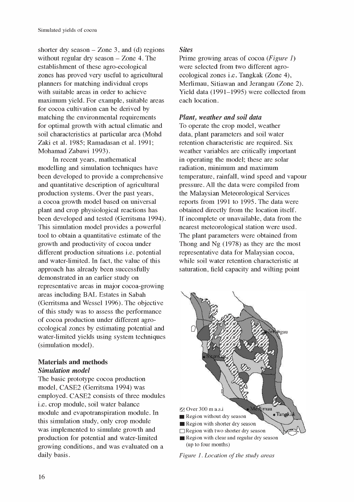shorter dry season  $-$  Zone 3, and (d) regions without regular dry season  $-$  Zone 4. The establishment of these agro-ecological zones has proved very useful to agricultural planners for matching individual crops with suitable areas in order to achieve maximum yield. For example, suitable areas for cocoa cultivation can be derived by matching the environmental requirements for optimal growth with actual climatic and soil characteristics at particular area (Mohd Zaki et al. 1985; Ramadasan et al. 1991; Mohamad Zabawi 1993).

In recent years, mathematical modelling and simulation techniques have been developed to provide a comprehensive and quantitative description of agricultural production systems. Over the past years, a cocoa growth model based on universal plant and crop physiological reactions has been developed and tested (Gerritsma 1994). This simulation model provides a powerful tool to obtain a quantitative estimate of the growth and productivity of cocoa under different production situations i.e. potential and water-limited. In fact, the value of this approach has already been successfully demonstrated in an earlier study on representative areas in major cocoa-growing areas including BAL Estates in Sabah (Gerritsma and Wessel 1996). The objective of this study was to assess the performance of cocoa production under different agroecological zones by estimating potential and water-limited yields using system techniques (simulation model).

# Materials and methods Simulation model

The basic prototype cocoa production model, CASE2 (Gerritsma 1994) was employed. CASE2 consists of three modules i.e. crop module, soil water balance module and evapotranspiration module. In this simulation study, only crop module was implemented to simulate growth and production for potential and water-limited growing conditions, and was evaluated on a daily basis.

# **Sites**

Prime growing areas of cocoa (*Figure 1*) were selected from two different agroecological zones i.e. Tangkak (Zone 4), Merlimau, Sitiawan and Jerangau (Zone 2). Yield data (1991-1995) were collected from each location.

# Plant, weather and soil data

To operate the crop model, weather data, plant parameters and soil water retention characteristic are required. Six weather variables are critically important in operating the model; these are solar radiation, minimum and maximum temperature, rainfall, wind speed and vapour pressure. All the data were compiled from the Malaysian Meteorological Services reports from 1991 to 1995. The data were obtained directly from the location itself. If incomplete or unavailable, data from the nearest meteorological station were used. The plant parameters were obtained from Thong and Ng (1978) as they are the most representative data for Malaysian cocoa, while soil water retention characteristic at saturation, field capacity and wilting point



Figure 1. Location of the study areas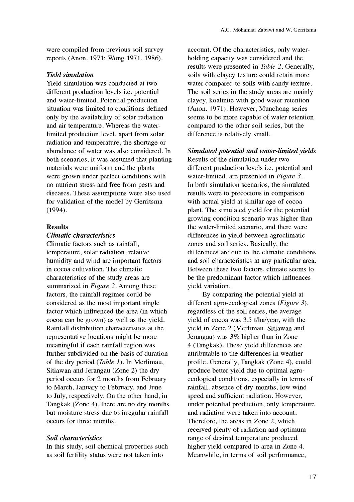were compiled from previous soil survey reports (Anon. 1971; Wong 1971, 1986).

## Yield simulation

Yield simulation was conducted at two different production levels i.e. potential and water-limited. Potential production situation was limited to conditions defined only by the availability of solar radiation and air temperature. Whereas the waterlimited production level, apart from solar radiation and temperature, the shortage or abundance of water was also considered. In both scenarios, it was assumed that planting materials were uniform and the plants were grown under perfect conditions with no nutrient stress and free from pests and diseases. These assumptions were also used for validation of the model by Gerritsma (1994).

#### Results

### Climatic characteristics

Climatic factors such as rainfall, temperature, solar radiation, relative humidity and wind are important factors in cocoa cultivation. The climatic characteristics of the study areas are summarized in *Figure 2*. Among these factors, the rainfall regimes could be considered as the most important single factor which influenced the area (in which cocoa can be grown) as well as the yield. Rainfall distribution characteristics at the representative locations might be more meaningful if each rainfall region was further subdivided on the basis of duration of the dry period (Table 1). In Merlimau, Sitiawan and Jerangau (Zone 2) the dry period occurs for 2 months from February to March, January to February, and June to July, respectively. On the other hand, in Tangkak (Zone 4), there are no dry months but moisture stress due to irregular rainfall occurs for three months.

#### Soil characteristics

In this study, soil chemical properties such as soil fertility status were not taken into

account. Of the characteristics, only waterholding capacity was considered and the results were presented in Table 2. Generally, soils with clayey texture could retain more water compared to soils with sandy texture. The soil series in the study areas are mainly clayey, koalinite with good water retention (Anon. 1971). However, Munchong series seems to be more capable of water retention compared to the other soil series, but the difference is relatively small.

#### Simulated potential and water-limited yields

Results of the simulation under two different production levels i.e. potential and water-limited, are presented in Figure 3. In both simulation scenarios, the simulated results were to precocious in comparison with actual yield at similar age of cocoa plant. The simulated yield for the potential growing condition scenario was higher than the water-limited scenario, and there were differences in yield between agroclimatic zones and soil series. Basically, the differences are due to the climatic conditions and soil characteristics at any particular area. Between these two factors, climate seems to be the predominant factor which influences yield variation.

By comparing the potential yield at different agro-ecological zones (*Figure 3*), regardless of the soil series, the average yield of cocoa was 3.5 t/ha/year, with the yield in Zone 2 (Merlimau, Sitiawan and Jerangau) was 3% higher than in Zone 4 (Tangkak). These yield differences are attributable to the differences in weather profile. Generally, Tangkak (Zone 4), could produce better yield due to optimal agroecological conditions, especially in terms of rainfall, absence of dry months, low wind speed and sufficient radiation. However, under potential production, only temperature and radiation were taken into account. Therefore, the areas in Zone 2, which received plenty of radiation and optimum range of desired temperature produced higher yield compared to area in Zone 4. Meanwhile, in terms of soil performance,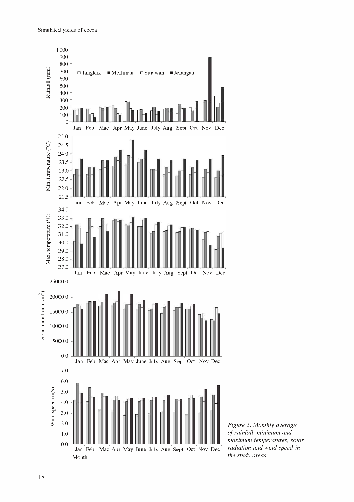

Figure 2. Monthly average of rainfall, minimum and maximum temperatures, solar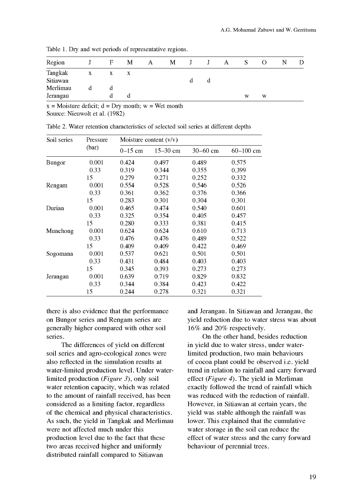|   | F | М | А | M | J | $\mathbf{J}$ | A | S | $\theta$ | N | D                                                            |
|---|---|---|---|---|---|--------------|---|---|----------|---|--------------------------------------------------------------|
| X | x | X |   |   |   |              |   |   |          |   |                                                              |
|   |   |   |   |   |   | a            |   |   |          |   |                                                              |
|   |   |   |   |   |   |              |   |   |          |   |                                                              |
|   |   | α |   |   |   |              |   | W | W        |   |                                                              |
|   |   |   |   |   |   |              |   |   |          |   | There is Dry three were perfected of representative regions. |

Table 1. Dry and wet periods of representative regions.

 $x = \text{Moisture deficit}; d = \text{Dry month}; w = \text{Wet month}$ 

Source: Nieuwolt et al. (1982)

| Soil series | Pressure | Moisture content $(v/v)$ |              |              |               |  |  |  |  |
|-------------|----------|--------------------------|--------------|--------------|---------------|--|--|--|--|
|             | (bar)    | $0-15$ cm                | $15 - 30$ cm | $30 - 60$ cm | $60 - 100$ cm |  |  |  |  |
| Bungor      | 0.001    | 0.424                    | 0.497        | 0.489        | 0.575         |  |  |  |  |
|             | 0.33     | 0.319                    | 0.344        | 0.355        | 0.399         |  |  |  |  |
|             | 15       | 0.279                    | 0.271        | 0.252        | 0.332         |  |  |  |  |
| Rengam      | 0.001    | 0.554                    | 0.528        | 0.546        | 0.526         |  |  |  |  |
|             | 0.33     | 0.361                    | 0.362        | 0.376        | 0.366         |  |  |  |  |
|             | 15       | 0.283                    | 0.301        | 0.304        | 0.301         |  |  |  |  |
| Durian      | 0.001    | 0.465                    | 0.474        | 0.540        | 0.601         |  |  |  |  |
|             | 0.33     | 0.325                    | 0.354        | 0.405        | 0.457         |  |  |  |  |
|             | 15       | 0.280                    | 0.333        | 0.381        | 0.415         |  |  |  |  |
| Munchong    | 0.001    | 0.624                    | 0.624        | 0.610        | 0.713         |  |  |  |  |
|             | 0.33     | 0.476                    | 0.476        | 0.489        | 0.522         |  |  |  |  |
|             | 15       | 0.409                    | 0.409        | 0.422        | 0.469         |  |  |  |  |
| Sogomana    | 0.001    | 0.537                    | 0.621        | 0.501        | 0.501         |  |  |  |  |
|             | 0.33     | 0.431                    | 0.484        | 0.403        | 0.403         |  |  |  |  |
|             | 15       | 0.345                    | 0.393        | 0.273        | 0.273         |  |  |  |  |
| Jerangau    | 0.001    | 0.639                    | 0.719        | 0.829        | 0.832         |  |  |  |  |
|             | 0.33     | 0.344                    | 0.384        | 0.423        | 0.422         |  |  |  |  |
|             | 15       | 0.244                    | 0.278        | 0.321        | 0.321         |  |  |  |  |

Table 2. Water retention characteristics of selected soil series at different depths

there is also evidence that the performance on Bungor series and Rengam series are generally higher compared with other soil series.

The differences of yield on different soil series and agro-ecological zones were also reflected in the simulation results at water-limited production level. Under waterlimited production (Figure 3), only soil water retention capacity, which was related to the amount of rainfall received, has been considered as a limiting factor, regardless of the chemical and physical characteristics. As such, the yield in Tangkak and Merlimau were not affected much under this production level due to the fact that these two areas received higher and uniformly distributed rainfall compared to Sitiawan

and Jerangau. In Sitiawan and Jerangau, the yield reduction due to water stress was about 16% and 20% respectively.

On the other hand, besides reduction in yield due to water stress, under waterlimited production, two main behaviours of cocoa plant could be observed i.e. yield trend in relation to rainfall and carry forward effect (*Figure 4*). The yield in Merlimau exactly followed the trend of rainfall which was reduced with the reduction of rainfall. However, in Sitiawan at certain years, the yield was stable although the rainfall was lower. This explained that the cumulative water storage in the soil can reduce the effect of water stress and the carry forward behaviour of perennial trees.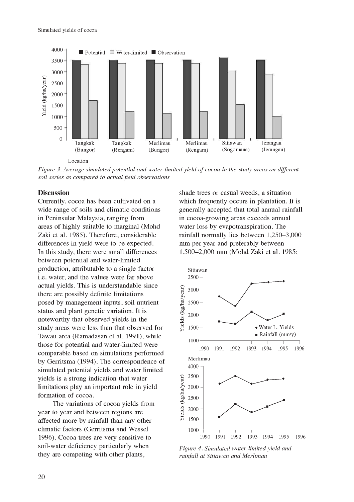

Figure 3. Average simulated potential and water-limited yield of cocoa in the study areas on different soil series as compared to actual field observations

## **Discussion**

Currently, cocoa has been cultivated on a wide range of soils and climatic conditions in Peninsular Malaysia, ranging from areas of highly suitable to marginal (Mohd Zaki et al. 1985). Therefore, considerable differences in yield were to be expected. In this study, there were small differences between potential and water-limited production, attributable to a single factor i.e. water, and the values were far above actual yields. This is understandable since<br>there are possibly definite limitations<br>posed by management inputs, soil nutrient<br>status and plant genetic variation. It is<br>noteworthy that observed yields in the<br>study areas we there are possibly definite limitations posed by management inputs, soil nutrient status and plant genetic variation. It is noteworthy that observed yields in the study areas were less than that observed for Tawau area (Ramadasan et al. 1991), while those for potential and water-limited were comparable based on simulations performed by Gerritsma (1994). The correspondence of simulated potential yields and water limited<br>
yields is a strong indication that water<br>
limitations play an important role in yield<br>
formation of cocoa.<br>
The variations of cocoa yields from<br>
year to year and between regio yields is a strong indication that water limitations play an important role in yield formation of cocoa.

The variations of cocoa yields from year to year and between regions are affected more by rainfall than any other climatic factors (Gerritsma and Wessel 1996). Cocoa trees are very sensitive to soil-water deficiency particularly when they are competing with other plants,

shade trees or casual weeds, a situation which frequently occurs in plantation. It is generally accepted that total annual rainfall in cocoa-growing areas exceeds annual water loss by evapotranspiration. The rainfall normally lies between 1,250-3,000 mm per year and preferably between 1,500-2,000 mm (Mohd Zaki et al. 1985;



Figure 4. Simulated water-limited yield and rainfall at Sitiawan and Merlimau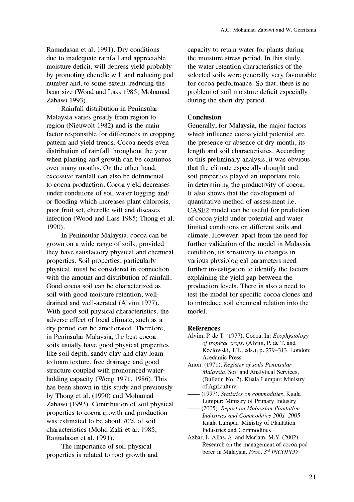Ramadasan et al. 1991). Dry conditions due to inadequate rainfall and appreciable moisture deficit, will depress yield probably by promoting cherelle wilt and reducing pod number and, to some extent, reducing the bean size (Wood and Lass 1985; Mohamad Zabawi 1993).

Rainfall distribution in Peninsular Malaysia varies greatly from region to region (Nieuwolt 1982) and is the main factor responsible for differences in cropping pattern and yield trends. Cocoa needs even distribution of rainfall throughout the year when planting and growth can be continuos over many months. On the other hand, excessive rainfall can also be detrimental to cocoa production. Cocoa yield decreases under conditions of soil water logging and/ or flooding which increases plant chlorosis, poor fruit set, cherelle wilt and diseases infection (Wood and Lass 1985; Thong et al. 1990).

In Peninsular Malaysia, cocoa can be grown on a wide range of soils, provided they have satisfactory physical and chemical properties. Soil properties, particularly physical, must be considered in connection with the amount and distribution of rainfall. Good cocoa soil can be characterized as soil with good moisture retention, welldrained and well-aerated (Alvim 1977). With good soil physical characteristics, the adverse effect of local climate, such as a dry period can be ameliorated. Therefore, in Peninsular Malaysia, the best cocoa soils usually have good physical properties like soil depth, sandy clay and clay loam to loam texture, free drainage and good structure coupled with pronounced waterholding capacity (Wong 1971, 1986). This has been shown in this study and previously by Thong et al. (1990) and Mohamad Zabawi (1993). Contribution of soil physical properties to cocoa growth and production was estimated to be about 70% of soil characteristics (Mohd Zaki et al. 1985; Ramadasan et al. 1991).

The importance of soil physical properties is related to root growth and capacity to retain water for plants during the moisture stress period. In this study, the water-retention characteristics of the selected soils were generally very favourable for cocoa performance. So that, there is no problem of soil moisture deficit especially during the short dry period.

## Conclusion

Generally, for Malaysia, the major factors which influence cocoa yield potential are the presence or absence of dry month, its length and soil characteristics. According to this preliminary analysis, it was obvious that the climate especially drought and soil properties played an important role in determining the productivity of cocoa. It also shows that the development of quantitative method of assessment i.e. CASE2 model can be useful for prediction of cocoa yield under potential and water limited conditions on different soils and climate. However, apart from the need for further validation of the model in Malaysia condition, its sensitivity to changes in various physiological parameters need further investigation to identify the factors explaining the yield gap between the production levels. There is also a need to test the model for specific cocoa clones and to introduce soil chemical relation into the model.

### References

- Alvim, P. de T. (1977). Cocoa. In: Ecophysiology of tropical crops, (Alvim, P. de T. and Kozlowski, T.T., eds.), p. 279-313. London: Acedamic Press
- Anon. (1971). Register of soils Peninsular Malaysia. Soil and Analytical Services, (Bulletin No. 7). Kuala Lumpur: Ministry of Agriculture
- (1997). Statistics on commodities. Kuala Lumpur: Ministry of Primary Industry
- (2005). Report on Malaysian Plantation Industries and Commodities 2001-2005. Kuala Lumpur: Ministry of Plantation Industries and Commodities
- Azhar, I., Alias, A. and Meriam, M.Y. (2002). Research on the management of cocoa pod borer in Malaysia. Proc. 3rd INCOPED